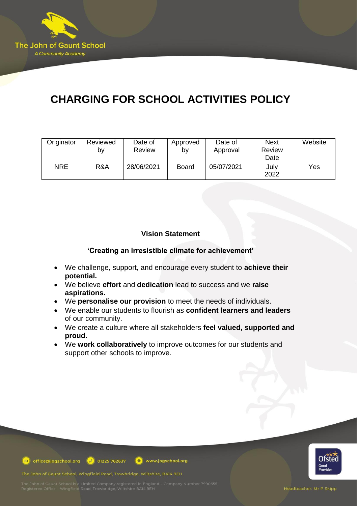

# **CHARGING FOR SCHOOL ACTIVITIES POLICY**

| Originator | Reviewed<br>b٧ | Date of<br>Review | Approved<br>bv | Date of<br>Approval | <b>Next</b><br>Review<br>Date | Website |
|------------|----------------|-------------------|----------------|---------------------|-------------------------------|---------|
| <b>NRE</b> | R&A            | 28/06/2021        | <b>Board</b>   | 05/07/2021          | July<br>2022                  | Yes     |

## **Vision Statement**

**'Creating an irresistible climate for achievement'**

- We challenge, support, and encourage every student to **achieve their potential.**
- We believe **effort** and **dedication** lead to success and we **raise aspirations.**
- We **personalise our provision** to meet the needs of individuals.
- We enable our students to flourish as **confident learners and leaders** of our community.
- We create a culture where all stakeholders **feel valued, supported and proud.**
- We **work collaboratively** to improve outcomes for our students and support other schools to improve.



office@jogschool.org  $\boxed{9}$  01225 762637 www.jogschool.org

The John of Gaunt School, Wingfield Road, Trowbridge, Wiltshire, BA14 9EH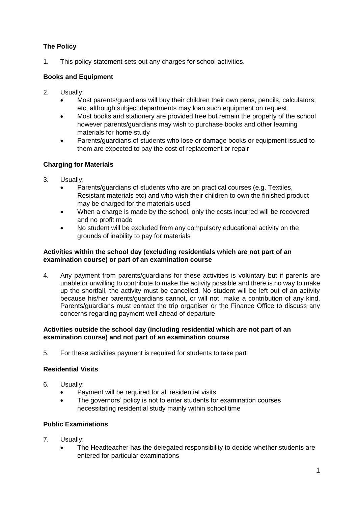# **The Policy**

1. This policy statement sets out any charges for school activities.

## **Books and Equipment**

- 2. Usually:
	- Most parents/guardians will buy their children their own pens, pencils, calculators, etc, although subject departments may loan such equipment on request
	- Most books and stationery are provided free but remain the property of the school however parents/guardians may wish to purchase books and other learning materials for home study
	- Parents/guardians of students who lose or damage books or equipment issued to them are expected to pay the cost of replacement or repair

## **Charging for Materials**

- 3. Usually:
	- Parents/guardians of students who are on practical courses (e.g. Textiles, Resistant materials etc) and who wish their children to own the finished product may be charged for the materials used
	- When a charge is made by the school, only the costs incurred will be recovered and no profit made
	- No student will be excluded from any compulsory educational activity on the grounds of inability to pay for materials

#### **Activities within the school day (excluding residentials which are not part of an examination course) or part of an examination course**

4. Any payment from parents/guardians for these activities is voluntary but if parents are unable or unwilling to contribute to make the activity possible and there is no way to make up the shortfall, the activity must be cancelled. No student will be left out of an activity because his/her parents/guardians cannot, or will not, make a contribution of any kind. Parents/guardians must contact the trip organiser or the Finance Office to discuss any concerns regarding payment well ahead of departure

#### **Activities outside the school day (including residential which are not part of an examination course) and not part of an examination course**

5. For these activities payment is required for students to take part

# **Residential Visits**

- 6. Usually:
	- Payment will be required for all residential visits
	- The governors' policy is not to enter students for examination courses necessitating residential study mainly within school time

# **Public Examinations**

- 7. Usually:
	- The Headteacher has the delegated responsibility to decide whether students are entered for particular examinations